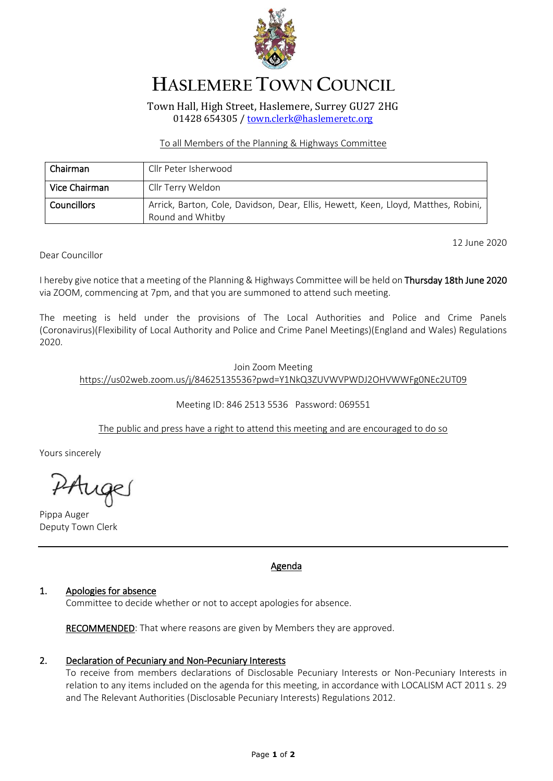

# **HASLEMERE TOWN COUNCIL**

Town Hall, High Street, Haslemere, Surrey GU27 2HG 01428 654305 [/ town.clerk@haslemeretc.org](mailto:town.clerk@haslemeretc.org)

### To all Members of the Planning & Highways Committee

| Chairman           | Cllr Peter Isherwood                                                                                   |
|--------------------|--------------------------------------------------------------------------------------------------------|
| Vice Chairman      | Cllr Terry Weldon                                                                                      |
| <b>Councillors</b> | Arrick, Barton, Cole, Davidson, Dear, Ellis, Hewett, Keen, Lloyd, Matthes, Robini,<br>Round and Whitby |

12 June 2020

Dear Councillor

I hereby give notice that a meeting of the Planning & Highways Committee will be held on Thursday 18th June 2020 via ZOOM, commencing at 7pm, and that you are summoned to attend such meeting.

The meeting is held under the provisions of The Local Authorities and Police and Crime Panels (Coronavirus)(Flexibility of Local Authority and Police and Crime Panel Meetings)(England and Wales) Regulations 2020.

# Join Zoom Meeting [https://us02web.zoom.us/j/84625135536?pwd=Y1NkQ3ZUVWVPWDJ2OHVWWFg0NEc2UT09](https://www.google.com/url?q=https://us02web.zoom.us/j/84625135536?pwd%3DY1NkQ3ZUVWVPWDJ2OHVWWFg0NEc2UT09&sa=D&ust=1592327692851000&usg=AOvVaw3cIgR_yNdeaG5xxzggraiW)

# Meeting ID: 846 2513 5536 Password: 069551

# The public and press have a right to attend this meeting and are encouraged to do so

Yours sincerely

PAuge

Pippa Auger Deputy Town Clerk

# Agenda

#### 1. Apologies for absence

Committee to decide whether or not to accept apologies for absence.

RECOMMENDED: That where reasons are given by Members they are approved.

#### 2. Declaration of Pecuniary and Non-Pecuniary Interests

To receive from members declarations of Disclosable Pecuniary Interests or Non-Pecuniary Interests in relation to any items included on the agenda for this meeting, in accordance with LOCALISM ACT 2011 s. 29 and The Relevant Authorities (Disclosable Pecuniary Interests) Regulations 2012.